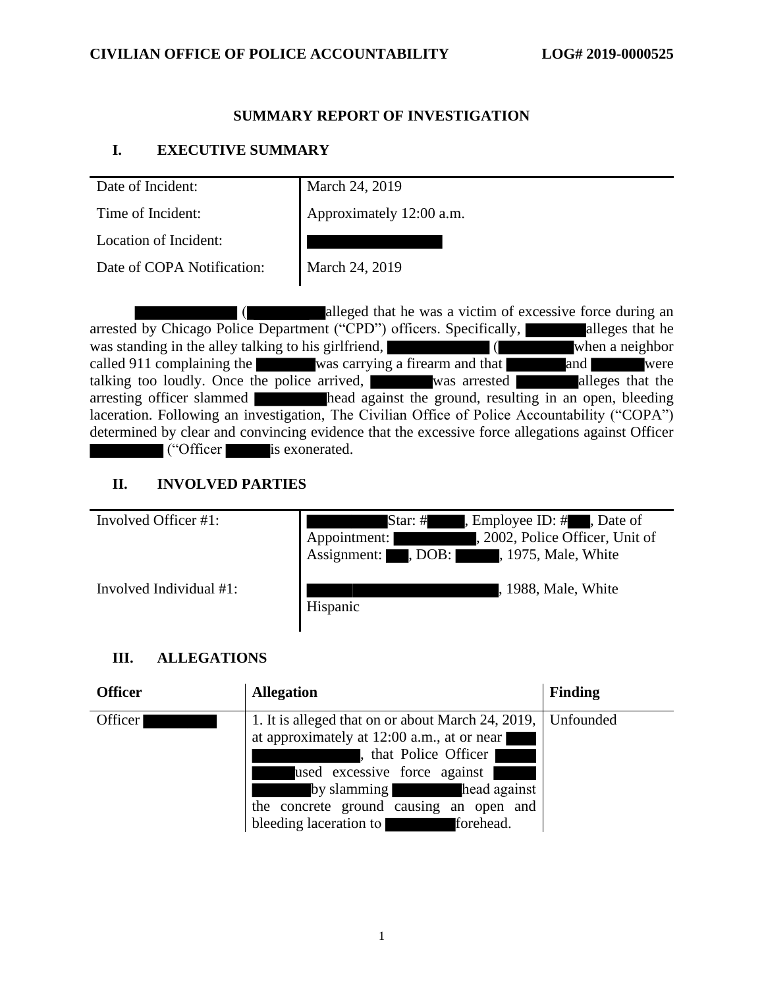### **SUMMARY REPORT OF INVESTIGATION**

## **I. EXECUTIVE SUMMARY**

Date of Incident: March 24, 2019

Time of Incident: <br> Approximately 12:00 a.m.

Location of Incident:

Date of COPA Notification: March 24, 2019

( alleged that he was a victim of excessive force during an arrested by Chicago Police Department ("CPD") officers. Specifically, alleges that he was standing in the alley talking to his girlfriend, <br>called 911 complaining the was carrying a firearm and that and and when a neighbor called 911 complaining the was carrying a firearm and that and  $\blacksquare$  were talking too loudly. Once the police arrived, was arrested alleges that the arresting officer slammed head against the ground, resulting in an open, bleeding laceration. Following an investigation, The Civilian Office of Police Accountability ("COPA") determined by clear and convincing evidence that the excessive force allegations against Officer ("Officer is exonerated.

## **II. INVOLVED PARTIES**

| Involved Officer #1:    | , Employee ID: $#$ , Date of<br>Star: $#$<br>, 2002, Police Officer, Unit of<br>Appointment:<br>Assignment: , DOB:<br>, 1975, Male, White |
|-------------------------|-------------------------------------------------------------------------------------------------------------------------------------------|
| Involved Individual #1: | , 1988, Male, White<br>Hispanic                                                                                                           |

## **III. ALLEGATIONS**

| <b>Officer</b> | <b>Allegation</b>                                                                                                                                                                                                                                                                     | <b>Finding</b> |
|----------------|---------------------------------------------------------------------------------------------------------------------------------------------------------------------------------------------------------------------------------------------------------------------------------------|----------------|
| Officer        | 1. It is alleged that on or about March 24, 2019,   Unfounded<br>at approximately at 12:00 a.m., at or near<br>, that Police Officer<br>used excessive force against<br>by slamming<br>head against<br>the concrete ground causing an open and<br>bleeding laceration to<br>forehead. |                |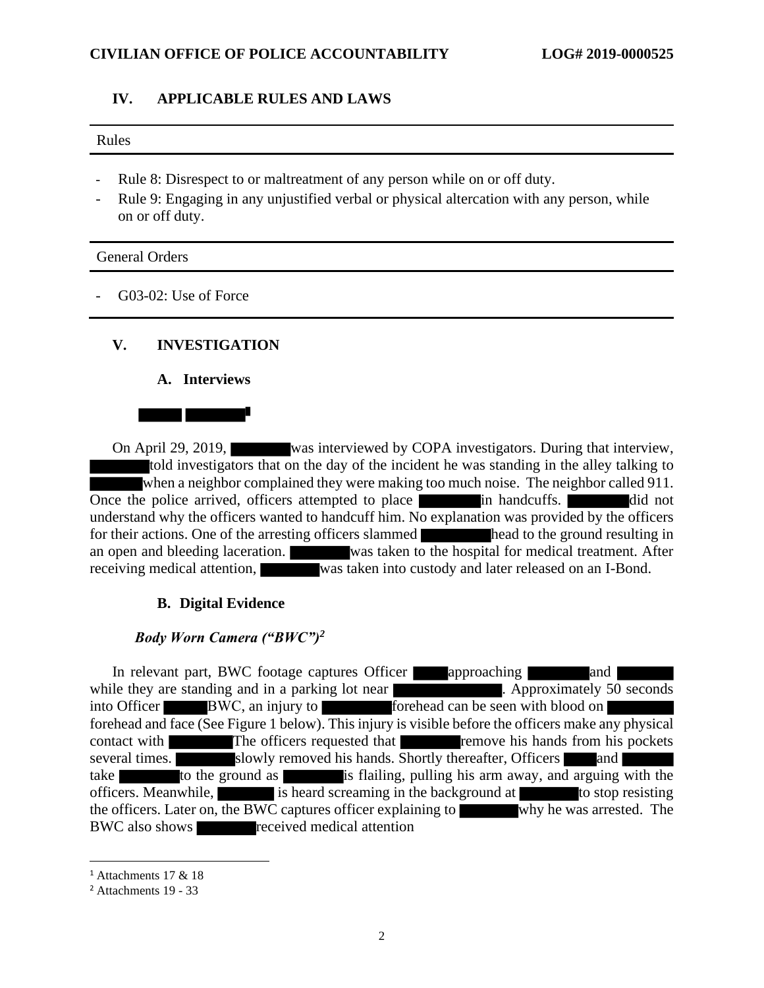#### **CIVILIAN OFFICE OF POLICE ACCOUNTABILITY LOG# 2019-0000525**

#### **IV. APPLICABLE RULES AND LAWS**

#### Rules

- Rule 8: Disrespect to or maltreatment of any person while on or off duty.
- Rule 9: Engaging in any unjustified verbal or physical altercation with any person, while on or off duty.

#### General Orders

G03-02: Use of Force

#### **V. INVESTIGATION**

#### **A. Interviews**



On April 29, 2019, was interviewed by COPA investigators. During that interview, told investigators that on the day of the incident he was standing in the alley talking to when a neighbor complained they were making too much noise. The neighbor called 911. Once the police arrived, officers attempted to place in handcuffs. The did not understand why the officers wanted to handcuff him. No explanation was provided by the officers for their actions. One of the arresting officers slammed head to the ground resulting in an open and bleeding laceration. Was taken to the hospital for medical treatment. After receiving medical attention, was taken into custody and later released on an I-Bond.

#### **B. Digital Evidence**

### *Body Worn Camera ("BWC")<sup>2</sup>*

In relevant part, BWC footage captures Officer approaching and while they are standing and in a parking lot near **.** Approximately 50 seconds into Officer BWC, an injury to forehead can be seen with blood on forehead and face (See Figure 1 below). This injury is visible before the officers make any physical contact with The officers requested that remove his hands from his pockets several times. slowly removed his hands. Shortly thereafter, Officers and take to the ground as is flailing, pulling his arm away, and arguing with the officers. Meanwhile, is heard screaming in the background at to stop resisting the officers. Later on, the BWC captures officer explaining to why he was arrested. The BWC also shows received medical attention

<sup>1</sup> Attachments 17 & 18

<sup>2</sup> Attachments 19 - 33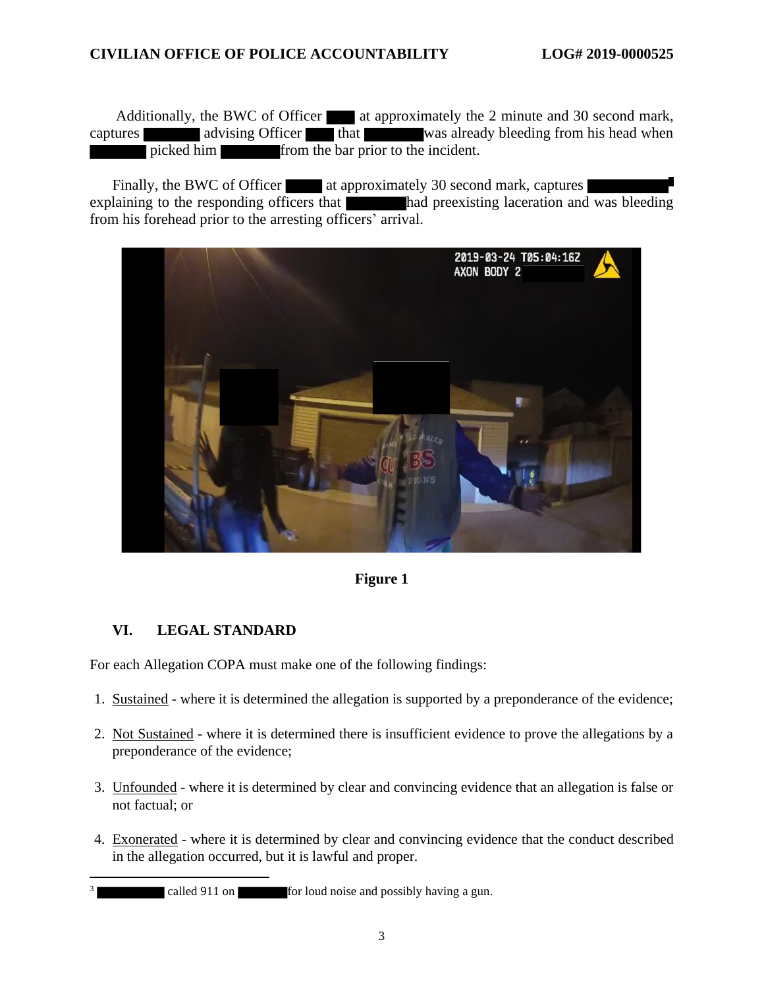Additionally, the BWC of Officer at approximately the 2 minute and 30 second mark, captures advising Officer that was already bleeding from his head when picked him from the bar prior to the incident.

Finally, the BWC of Officer at approximately 30 second mark, captures explaining to the responding officers that had preexisting laceration and was bleeding from his forehead prior to the arresting officers' arrival.



**Figure 1**

## **VI. LEGAL STANDARD**

For each Allegation COPA must make one of the following findings:

- 1. Sustained where it is determined the allegation is supported by a preponderance of the evidence;
- 2. Not Sustained where it is determined there is insufficient evidence to prove the allegations by a preponderance of the evidence;
- 3. Unfounded where it is determined by clear and convincing evidence that an allegation is false or not factual; or
- 4. Exonerated where it is determined by clear and convincing evidence that the conduct described in the allegation occurred, but it is lawful and proper.

<sup>3</sup> called 911 on **for loud noise and possibly having a gun.**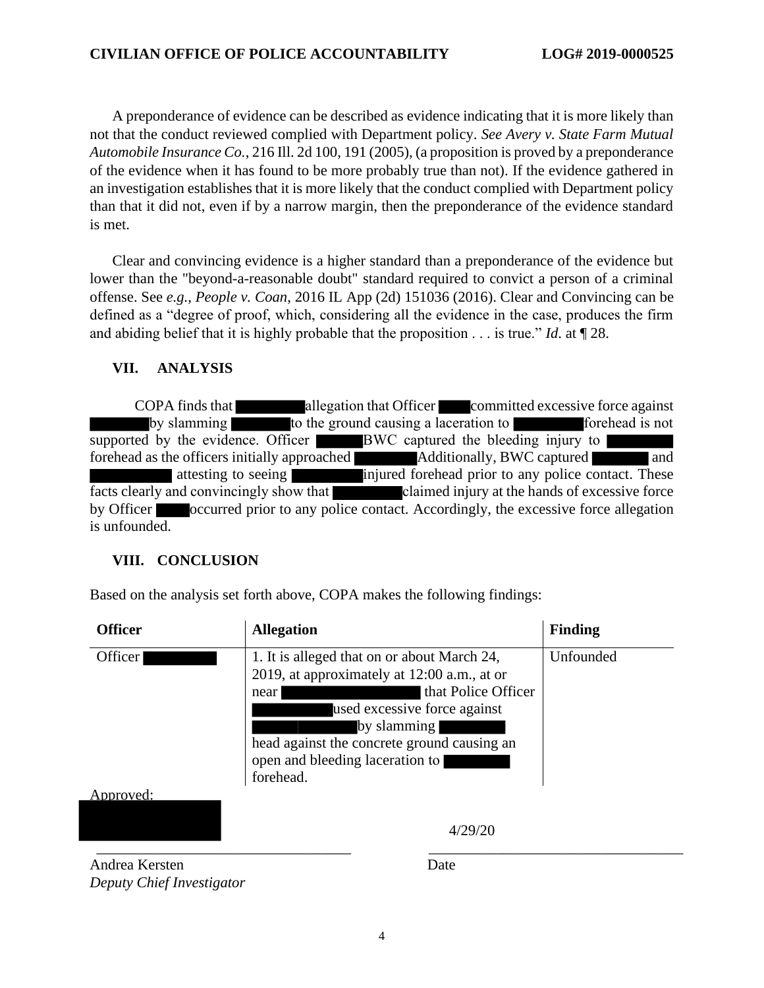### **CIVILIAN OFFICE OF POLICE ACCOUNTABILITY LOG# 2019-0000525**

A preponderance of evidence can be described as evidence indicating that it is more likely than not that the conduct reviewed complied with Department policy. *See Avery v. State Farm Mutual Automobile Insurance Co.*, 216 Ill. 2d 100, 191 (2005), (a proposition is proved by a preponderance of the evidence when it has found to be more probably true than not). If the evidence gathered in an investigation establishes that it is more likely that the conduct complied with Department policy than that it did not, even if by a narrow margin, then the preponderance of the evidence standard is met.

Clear and convincing evidence is a higher standard than a preponderance of the evidence but lower than the "beyond-a-reasonable doubt" standard required to convict a person of a criminal offense. See *e.g.*, *People v. Coan*, 2016 IL App (2d) 151036 (2016). Clear and Convincing can be defined as a "degree of proof, which, considering all the evidence in the case, produces the firm and abiding belief that it is highly probable that the proposition . . . is true." *Id*. at ¶ 28.

### **VII. ANALYSIS**

COPA finds that allegation that Officer committed excessive force against by slamming to the ground causing a laceration to forehead is not supported by the evidence. Officer BWC captured the bleeding injury to forehead as the officers initially approached Additionally, BWC captured and attesting to seeing **injured** forehead prior to any police contact. These facts clearly and convincingly show that claimed injury at the hands of excessive force by Officer **occurred prior to any police contact.** Accordingly, the excessive force allegation is unfounded.

#### **VIII. CONCLUSION**

*Deputy Chief Investigator*

| <b>Officer</b> | <b>Allegation</b>                                                                                                                                                                                                                                                       | <b>Finding</b> |
|----------------|-------------------------------------------------------------------------------------------------------------------------------------------------------------------------------------------------------------------------------------------------------------------------|----------------|
| Officer        | 1. It is alleged that on or about March 24,<br>2019, at approximately at 12:00 a.m., at or<br>that Police Officer<br>near<br>used excessive force against<br>by slamming<br>head against the concrete ground causing an<br>open and bleeding laceration to<br>forehead. | Unfounded      |
| Approved:      |                                                                                                                                                                                                                                                                         |                |
|                | 4/29/20                                                                                                                                                                                                                                                                 |                |
| Andrea Kersten | Date                                                                                                                                                                                                                                                                    |                |

Based on the analysis set forth above, COPA makes the following findings:

4